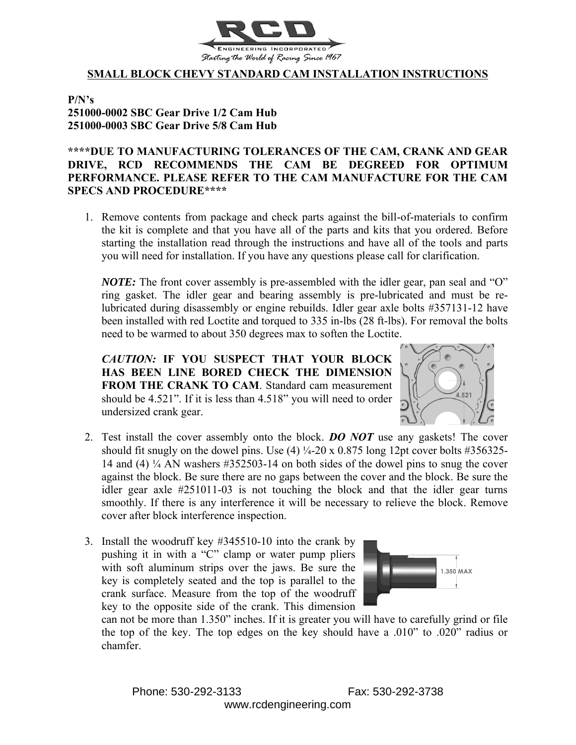

## **SMALL BLOCK CHEVY STANDARD CAM INSTALLATION INSTRUCTIONS**

**P/N's 251000-0002 SBC Gear Drive 1/2 Cam Hub 251000-0003 SBC Gear Drive 5/8 Cam Hub**

## **\*\*\*\*DUE TO MANUFACTURING TOLERANCES OF THE CAM, CRANK AND GEAR DRIVE, RCD RECOMMENDS THE CAM BE DEGREED FOR OPTIMUM PERFORMANCE. PLEASE REFER TO THE CAM MANUFACTURE FOR THE CAM SPECS AND PROCEDURE\*\*\*\***

1. Remove contents from package and check parts against the bill-of-materials to confirm the kit is complete and that you have all of the parts and kits that you ordered. Before starting the installation read through the instructions and have all of the tools and parts you will need for installation. If you have any questions please call for clarification.

*NOTE:* The front cover assembly is pre-assembled with the idler gear, pan seal and "O" ring gasket. The idler gear and bearing assembly is pre-lubricated and must be relubricated during disassembly or engine rebuilds. Idler gear axle bolts #357131-12 have been installed with red Loctite and torqued to 335 in-lbs (28 ft-lbs). For removal the bolts need to be warmed to about 350 degrees max to soften the Loctite.

*CAUTION:* **IF YOU SUSPECT THAT YOUR BLOCK HAS BEEN LINE BORED CHECK THE DIMENSION FROM THE CRANK TO CAM**. Standard cam measurement should be 4.521". If it is less than 4.518" you will need to order undersized crank gear.



- 2. Test install the cover assembly onto the block. *DO NOT* use any gaskets! The cover should fit snugly on the dowel pins. Use  $(4)$   $\frac{1}{4}$ -20 x 0.875 long 12pt cover bolts #356325-14 and (4)  $\frac{1}{4}$  AN washers #352503-14 on both sides of the dowel pins to snug the cover against the block. Be sure there are no gaps between the cover and the block. Be sure the idler gear axle #251011-03 is not touching the block and that the idler gear turns smoothly. If there is any interference it will be necessary to relieve the block. Remove cover after block interference inspection.
- 3. Install the woodruff key #345510-10 into the crank by pushing it in with a "C" clamp or water pump pliers with soft aluminum strips over the jaws. Be sure the key is completely seated and the top is parallel to the crank surface. Measure from the top of the woodruff key to the opposite side of the crank. This dimension



can not be more than 1.350" inches. If it is greater you will have to carefully grind or file the top of the key. The top edges on the key should have a .010" to .020" radius or chamfer.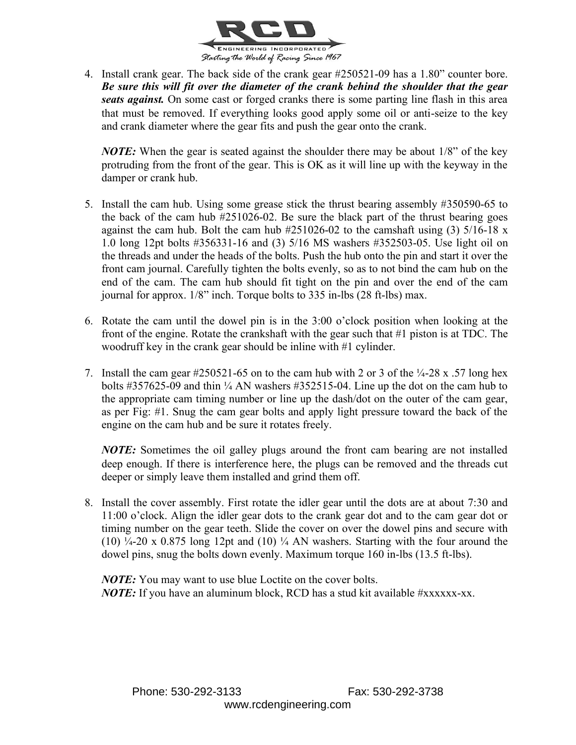

4. Install crank gear. The back side of the crank gear #250521-09 has a 1.80" counter bore. *Be sure this will fit over the diameter of the crank behind the shoulder that the gear seats against.* On some cast or forged cranks there is some parting line flash in this area that must be removed. If everything looks good apply some oil or anti-seize to the key and crank diameter where the gear fits and push the gear onto the crank.

*NOTE:* When the gear is seated against the shoulder there may be about 1/8" of the key protruding from the front of the gear. This is OK as it will line up with the keyway in the damper or crank hub.

- 5. Install the cam hub. Using some grease stick the thrust bearing assembly #350590-65 to the back of the cam hub #251026-02. Be sure the black part of the thrust bearing goes against the cam hub. Bolt the cam hub  $\#251026-02$  to the camshaft using (3)  $5/16-18$  x 1.0 long 12pt bolts #356331-16 and (3) 5/16 MS washers #352503-05. Use light oil on the threads and under the heads of the bolts. Push the hub onto the pin and start it over the front cam journal. Carefully tighten the bolts evenly, so as to not bind the cam hub on the end of the cam. The cam hub should fit tight on the pin and over the end of the cam journal for approx. 1/8" inch. Torque bolts to 335 in-lbs (28 ft-lbs) max.
- 6. Rotate the cam until the dowel pin is in the 3:00 o'clock position when looking at the front of the engine. Rotate the crankshaft with the gear such that #1 piston is at TDC. The woodruff key in the crank gear should be inline with #1 cylinder.
- 7. Install the cam gear  $\text{\#250521-65}$  on to the cam hub with 2 or 3 of the ¼-28 x .57 long hex bolts  $\#357625-09$  and thin  $\frac{1}{4}$  AN washers  $\#352515-04$ . Line up the dot on the cam hub to the appropriate cam timing number or line up the dash/dot on the outer of the cam gear, as per Fig: #1. Snug the cam gear bolts and apply light pressure toward the back of the engine on the cam hub and be sure it rotates freely.

*NOTE:* Sometimes the oil galley plugs around the front cam bearing are not installed deep enough. If there is interference here, the plugs can be removed and the threads cut deeper or simply leave them installed and grind them off.

8. Install the cover assembly. First rotate the idler gear until the dots are at about 7:30 and 11:00 o'clock. Align the idler gear dots to the crank gear dot and to the cam gear dot or timing number on the gear teeth. Slide the cover on over the dowel pins and secure with (10)  $\frac{1}{4}$ -20 x 0.875 long 12pt and (10)  $\frac{1}{4}$  AN washers. Starting with the four around the dowel pins, snug the bolts down evenly. Maximum torque 160 in-lbs (13.5 ft-lbs).

*NOTE:* You may want to use blue Loctite on the cover bolts. *NOTE:* If you have an aluminum block, RCD has a stud kit available #xxxxxx-xx.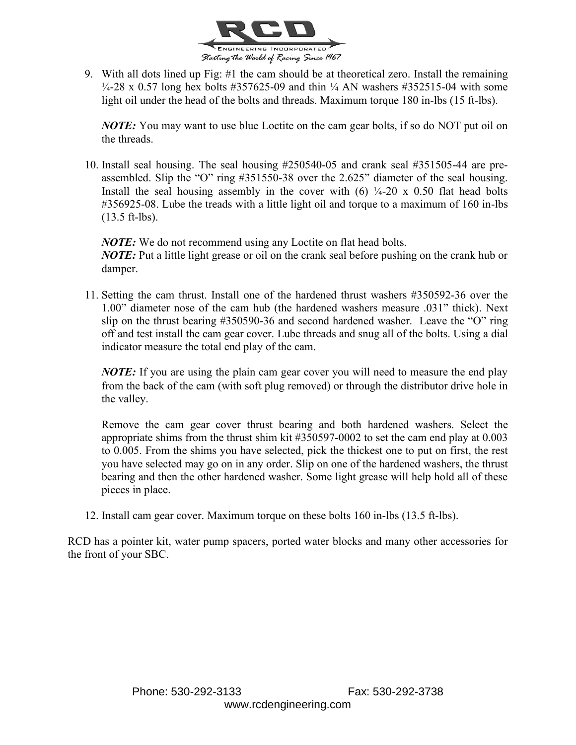

9. With all dots lined up Fig: #1 the cam should be at theoretical zero. Install the remaining  $\frac{1}{4}$ -28 x 0.57 long hex bolts #357625-09 and thin  $\frac{1}{4}$  AN washers #352515-04 with some light oil under the head of the bolts and threads. Maximum torque 180 in-lbs (15 ft-lbs).

*NOTE:* You may want to use blue Loctite on the cam gear bolts, if so do NOT put oil on the threads.

10. Install seal housing. The seal housing #250540-05 and crank seal #351505-44 are preassembled. Slip the "O" ring #351550-38 over the 2.625" diameter of the seal housing. Install the seal housing assembly in the cover with  $(6)$   $\frac{1}{4}$ -20 x 0.50 flat head bolts #356925-08. Lube the treads with a little light oil and torque to a maximum of 160 in-lbs (13.5 ft-lbs).

*NOTE:* We do not recommend using any Loctite on flat head bolts. *NOTE:* Put a little light grease or oil on the crank seal before pushing on the crank hub or damper.

11. Setting the cam thrust. Install one of the hardened thrust washers #350592-36 over the 1.00" diameter nose of the cam hub (the hardened washers measure .031" thick). Next slip on the thrust bearing #350590-36 and second hardened washer. Leave the "O" ring off and test install the cam gear cover. Lube threads and snug all of the bolts. Using a dial indicator measure the total end play of the cam.

*NOTE*: If you are using the plain cam gear cover you will need to measure the end play from the back of the cam (with soft plug removed) or through the distributor drive hole in the valley.

Remove the cam gear cover thrust bearing and both hardened washers. Select the appropriate shims from the thrust shim kit #350597-0002 to set the cam end play at 0.003 to 0.005. From the shims you have selected, pick the thickest one to put on first, the rest you have selected may go on in any order. Slip on one of the hardened washers, the thrust bearing and then the other hardened washer. Some light grease will help hold all of these pieces in place.

12. Install cam gear cover. Maximum torque on these bolts 160 in-lbs (13.5 ft-lbs).

RCD has a pointer kit, water pump spacers, ported water blocks and many other accessories for the front of your SBC.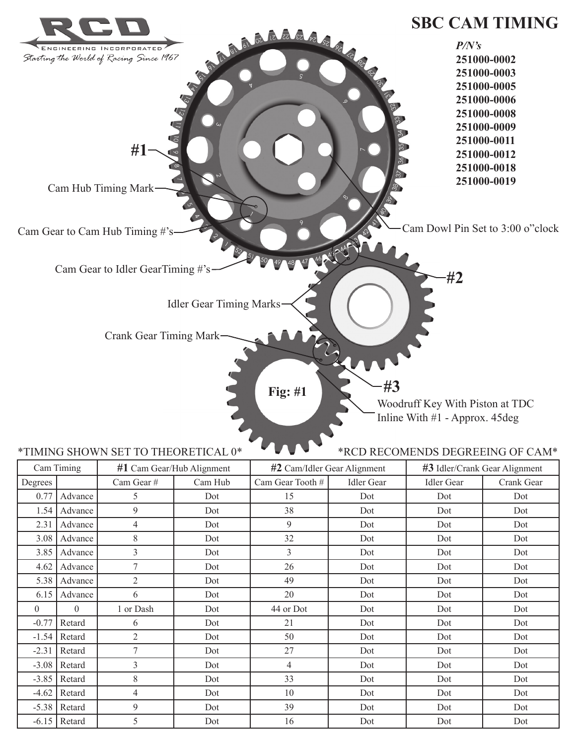

|          |                  |                | $m = 0$ can bear that the symmetric | $m = 0$ cann rate to bat the summer. |                   | $m_{\bullet}$ reach stain stair impliment |            |  |
|----------|------------------|----------------|-------------------------------------|--------------------------------------|-------------------|-------------------------------------------|------------|--|
| Degrees  |                  | Cam Gear#      | Cam Hub                             | Cam Gear Tooth $#$                   | <b>Idler</b> Gear | <b>Idler Gear</b>                         | Crank Gear |  |
| 0.77     | Advance          | 5              | Dot                                 | 15                                   | Dot               | Dot                                       | Dot        |  |
|          | $1.54$   Advance | 9              | Dot                                 | 38                                   | Dot               | Dot                                       | Dot        |  |
| 2.31     | Advance          | 4              | Dot                                 | 9                                    | Dot               | Dot                                       | Dot        |  |
| 3.08     | Advance          | 8              | Dot                                 | 32                                   | Dot               | Dot                                       | Dot        |  |
| 3.85     | Advance          | $\overline{3}$ | Dot                                 | $\overline{3}$                       | Dot               | Dot                                       | Dot        |  |
| 4.62     | Advance          | 7              | Dot                                 | 26                                   | Dot               | Dot                                       | Dot        |  |
| 5.38     | Advance          | $\overline{2}$ | Dot                                 | 49                                   | Dot               | Dot                                       | Dot        |  |
| 6.15     | Advance          | 6              | Dot                                 | 20                                   | Dot               | Dot                                       | Dot        |  |
| $\theta$ | $\theta$         | 1 or Dash      | Dot                                 | 44 or Dot                            | Dot               | Dot                                       | Dot        |  |
| $-0.77$  | Retard           | 6              | Dot                                 | 21                                   | Dot               | Dot                                       | Dot        |  |
| $-1.54$  | Retard           | $\overline{2}$ | Dot                                 | 50                                   | Dot               | Dot                                       | Dot        |  |
| $-2.31$  | Retard           | $\tau$         | Dot                                 | 27                                   | Dot               | Dot                                       | Dot        |  |
| $-3.08$  | Retard           | 3              | Dot                                 | 4                                    | Dot               | Dot                                       | Dot        |  |
| $-3.85$  | Retard           | 8              | Dot                                 | 33                                   | Dot               | Dot                                       | Dot        |  |
|          | $-4.62$ Retard   | 4              | Dot                                 | 10                                   | Dot               | Dot                                       | Dot        |  |
|          | $-5.38$ Retard   | 9              | Dot                                 | 39                                   | Dot               | Dot                                       | Dot        |  |
|          | $-6.15$ Retard   | 5              | Dot                                 | 16                                   | Dot               | Dot                                       | Dot        |  |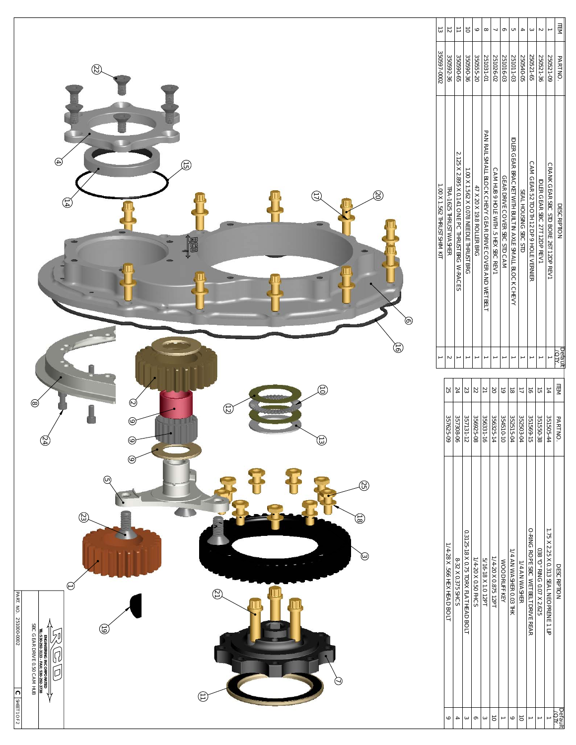

| ದ                            |                            |                                                 |                                          |                           | $\infty$                                                 |                                     |                              |                                            |                      |                                      |                              |                                         | ITEM               |
|------------------------------|----------------------------|-------------------------------------------------|------------------------------------------|---------------------------|----------------------------------------------------------|-------------------------------------|------------------------------|--------------------------------------------|----------------------|--------------------------------------|------------------------------|-----------------------------------------|--------------------|
| 350597-0002                  | 350592-36                  | 350590-65                                       | 350590-36                                | 350555-20                 | 251031-01                                                | 251026-02                           | 251016-03                    | 251011-03                                  | 250540-05            | 250521-65                            | 250521-36                    | 250521-09                               | PART NO.           |
| I.OO X 1.562 THRUST SHIM KIT | TRA-1625 THRUST WASHER     | 2.125 X 2.895 X 0.141 ONE PC THRUST BRG W-RACES | - 100 X 1, 562 X 0.078 NEEDLE THRUST BRG | 47 X 20 X 19.8 ROLLER BRG | PAN RAIL SMALL BLOOK OHEVY GEAR DRIVE OOVER AND WEI BELI | CAM HUB 9 HOLE WITH 3. HEX SBC REVT | GEAR DRIVE COVER SBC STD CAM | IDLER GEAR BRACKET WIKE SMALL BLOUGK CHEVY | SEAL HOUSING SBC STD | CAM GEAR 52 TOOH 12 DP 9 HOLE VERNER | IDLER GEAR SBC 27T 12DP REV1 | CRANK GEAR SBC STD BORE 261 12DP REV1   | DESCRIPTION        |
|                              |                            |                                                 |                                          |                           |                                                          |                                     |                              |                                            |                      |                                      |                              |                                         | ineləd<br>Ř        |
|                              | SS.                        | 24                                              | 23                                       |                           |                                                          | 8                                   | 5                            | $\vec{0}$                                  |                      | $\vec{\theta}$                       | $\vec{a}$                    | $\frac{1}{4}$                           | ITEM               |
|                              | 357625-09                  | 357308-06                                       | 357131-12                                | 356925-08                 | 356331-16                                                | 356325-1                            | 354510-10                    | 352515-0                                   | 352503-04            | 351569-15                            | 351550-38                    | 351505-44                               | <b>PARTNO</b>      |
|                              | 1/4-28 X .566 HEX HEAD BOL | 8-32 X 0.375 SHCS                               | 0.3125-18 X 0.75 TORX FLAT HEAD BOL      | 1/4-20 X 0.50 FHCS        | 5/16-18 X 1.0 12PT                                       | 1/4-20 X 0.875 12PT                 | WOODRUFF KEY                 | 1/4 AN WASHER 0.03 THK                     | 1/4 AN WASHER        | O-RING ROPE SBC NELL DRIVE REAR      | 038 ° C MNG 0.07 X 2.625     | 1.75 X 2.25 X 0.313 SEAL NEOPRENE 1 LIP | <b>DESCRIPTION</b> |
|                              |                            |                                                 |                                          |                           |                                                          |                                     |                              |                                            |                      |                                      |                              |                                         | pefau              |